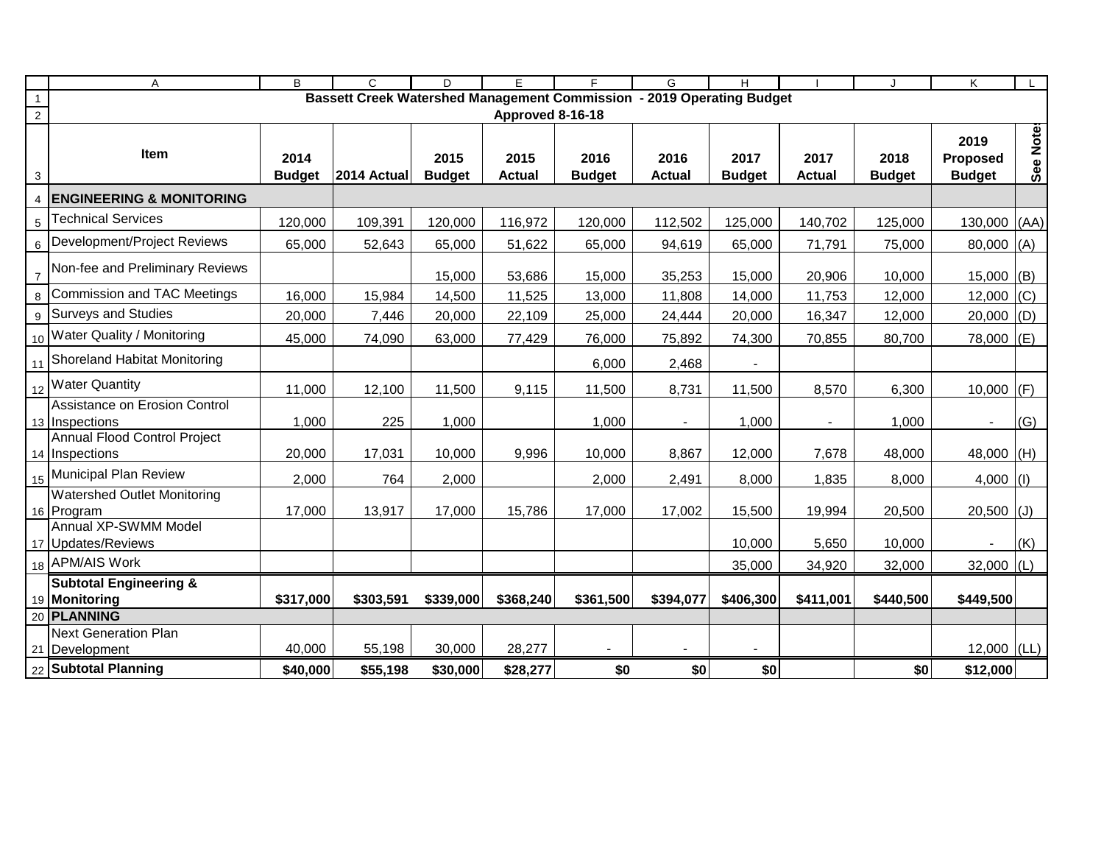|                | A                                                                                         | $\overline{B}$ | $\overline{C}$ | D             | E             | F             | G              | H             |               | $\cdot$       | $\overline{\mathsf{K}}$ |           |
|----------------|-------------------------------------------------------------------------------------------|----------------|----------------|---------------|---------------|---------------|----------------|---------------|---------------|---------------|-------------------------|-----------|
| $\overline{1}$ | Bassett Creek Watershed Management Commission - 2019 Operating Budget<br>Approved 8-16-18 |                |                |               |               |               |                |               |               |               |                         |           |
| $\overline{2}$ |                                                                                           |                |                |               |               |               |                |               |               |               |                         |           |
|                |                                                                                           |                |                |               |               |               |                |               |               |               | 2019                    | See Notes |
|                | Item                                                                                      | 2014           |                | 2015          | 2015          | 2016          | 2016           | 2017          | 2017          | 2018          | Proposed                |           |
| 3              |                                                                                           | <b>Budget</b>  | 2014 Actual    | <b>Budget</b> | <b>Actual</b> | <b>Budget</b> | <b>Actual</b>  | <b>Budget</b> | <b>Actual</b> | <b>Budget</b> | <b>Budget</b>           |           |
| $\overline{4}$ | <b>ENGINEERING &amp; MONITORING</b>                                                       |                |                |               |               |               |                |               |               |               |                         |           |
| $\,$ 5 $\,$    | <b>Technical Services</b>                                                                 | 120,000        | 109,391        | 120,000       | 116,972       | 120,000       | 112,502        | 125,000       | 140,702       | 125,000       | $130,000$ (AA)          |           |
| 6              | Development/Project Reviews                                                               | 65,000         | 52,643         | 65,000        | 51,622        | 65,000        | 94,619         | 65,000        | 71,791        | 75,000        | 80,000 (A)              |           |
| $\overline{7}$ | Non-fee and Preliminary Reviews                                                           |                |                | 15,000        | 53,686        | 15,000        | 35,253         | 15,000        | 20,906        | 10,000        | 15,000                  | (B)       |
| 8              | Commission and TAC Meetings                                                               | 16,000         | 15,984         | 14,500        | 11,525        | 13,000        | 11,808         | 14,000        | 11,753        | 12,000        | 12,000                  | (C)       |
|                | 9 Surveys and Studies                                                                     | 20,000         | 7,446          | 20,000        | 22,109        | 25,000        | 24,444         | 20,000        | 16,347        | 12,000        | 20,000                  | (D)       |
|                | 10 Water Quality / Monitoring                                                             | 45,000         | 74,090         | 63,000        | 77,429        | 76,000        | 75,892         | 74,300        | 70,855        | 80,700        | 78,000                  | (E)       |
|                | 11 Shoreland Habitat Monitoring                                                           |                |                |               |               | 6,000         | 2,468          |               |               |               |                         |           |
|                | 12 Water Quantity                                                                         | 11,000         | 12,100         | 11,500        | 9,115         | 11,500        | 8,731          | 11,500        | 8,570         | 6,300         | 10,000                  | (F)       |
|                | Assistance on Erosion Control<br>13 Inspections                                           | 1,000          | 225            | 1,000         |               | 1,000         | $\blacksquare$ | 1,000         |               | 1,000         | $\sim$                  | (G)       |
|                | Annual Flood Control Project                                                              |                |                |               |               |               |                |               |               |               |                         |           |
|                | 14 Inspections                                                                            | 20,000         | 17,031         | 10,000        | 9,996         | 10,000        | 8,867          | 12,000        | 7,678         | 48,000        | 48,000 (H)              |           |
|                | 15 Municipal Plan Review                                                                  | 2,000          | 764            | 2,000         |               | 2,000         | 2,491          | 8,000         | 1,835         | 8,000         | 4,000                   | (1)       |
|                | <b>Watershed Outlet Monitoring</b><br>16 Program                                          | 17,000         | 13,917         | 17,000        | 15,786        | 17,000        | 17,002         | 15,500        | 19,994        | 20,500        | 20,500                  | (J)       |
|                | Annual XP-SWMM Model                                                                      |                |                |               |               |               |                |               |               |               |                         |           |
|                | 17 Updates/Reviews                                                                        |                |                |               |               |               |                | 10,000        | 5,650         | 10,000        |                         | (K)       |
|                | 18 APM/AIS Work                                                                           |                |                |               |               |               |                | 35,000        | 34,920        | 32,000        | 32,000 (L)              |           |
|                | <b>Subtotal Engineering &amp;</b>                                                         |                |                |               |               |               |                |               |               |               |                         |           |
|                | 19 Monitoring                                                                             | \$317,000      | \$303,591      | \$339,000     | \$368,240     | \$361,500     | \$394,077      | \$406,300     | \$411,001     | \$440,500     | \$449,500               |           |
|                | 20 PLANNING                                                                               |                |                |               |               |               |                |               |               |               |                         |           |
|                | <b>Next Generation Plan</b><br>21 Development                                             | 40,000         | 55,198         | 30,000        | 28,277        |               |                |               |               |               | $12,000$ (LL)           |           |
|                | 22 Subtotal Planning                                                                      | \$40,000       | \$55,198       | \$30,000      | \$28,277      | \$0           | \$0            | \$0           |               | \$0           | \$12,000                |           |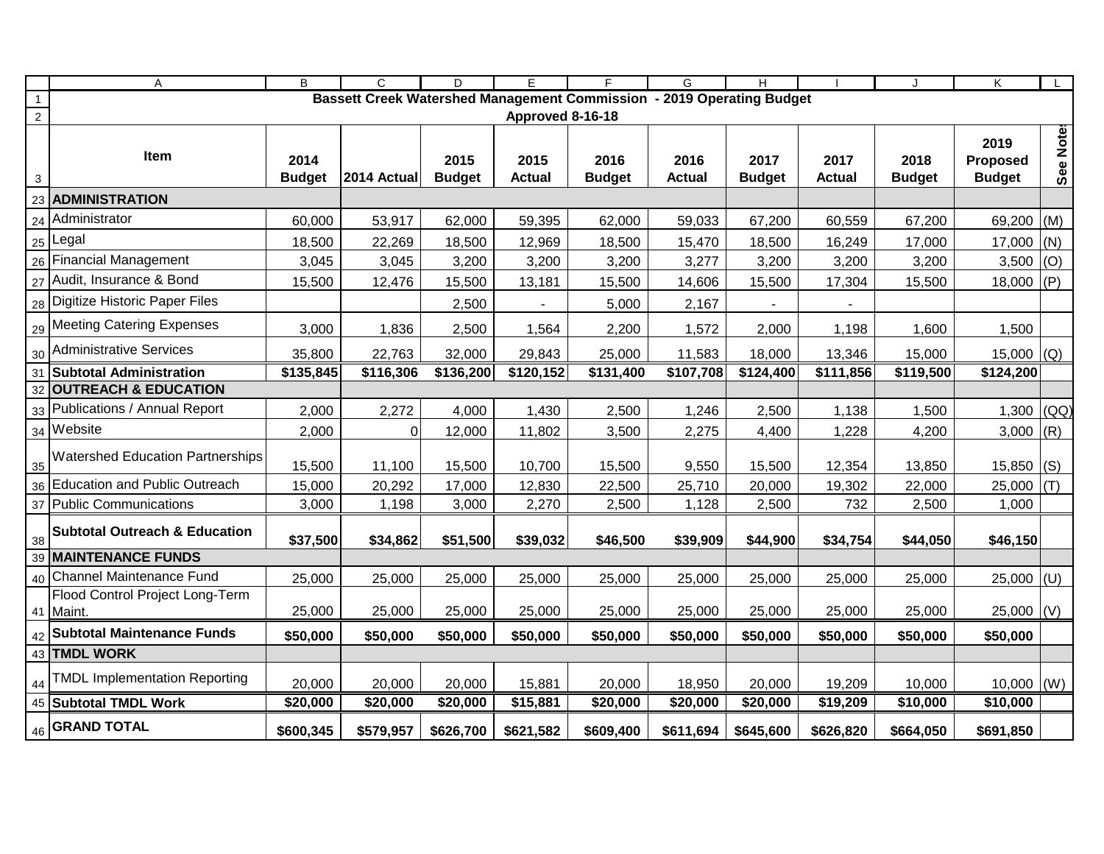|                | A                                                                     | B             | $\mathsf{C}$   | D             | E                 |                   | G             | H             |                 |               | K                        |           |
|----------------|-----------------------------------------------------------------------|---------------|----------------|---------------|-------------------|-------------------|---------------|---------------|-----------------|---------------|--------------------------|-----------|
| $\mathbf{1}$   | Bassett Creek Watershed Management Commission - 2019 Operating Budget |               |                |               |                   |                   |               |               |                 |               |                          |           |
| $\overline{2}$ | Approved 8-16-18                                                      |               |                |               |                   |                   |               |               |                 |               |                          |           |
|                |                                                                       |               |                |               |                   |                   |               |               |                 |               | 2019                     | See Notes |
|                | Item                                                                  | 2014          |                | 2015          | 2015              | 2016              | 2016          | 2017          | 2017            | 2018          | Proposed                 |           |
| 3              |                                                                       | <b>Budget</b> | 2014 Actual    | <b>Budget</b> | <b>Actual</b>     | <b>Budget</b>     | <b>Actual</b> | <b>Budget</b> | <b>Actual</b>   | <b>Budget</b> | <b>Budget</b>            |           |
| 23             | <b>ADMINISTRATION</b>                                                 |               |                |               |                   |                   |               |               |                 |               |                          |           |
| 24             | Administrator                                                         | 60,000        | 53,917         | 62,000        | 59,395            | 62,000            | 59,033        | 67,200        | 60,559          | 67,200        | 69,200                   | (M)       |
|                | $_{25}$   Legal                                                       | 18,500        | 22,269         | 18,500        | 12,969            | 18,500            | 15,470        | 18,500        | 16,249          | 17,000        | $17,000$ (N)             |           |
| 26             | <b>Financial Management</b>                                           | 3,045         | 3,045          | 3,200         | 3,200             | 3,200             | 3,277         | 3,200         | 3,200           | 3,200         | 3,500                    | (O)       |
|                | 27 Audit, Insurance & Bond                                            | 15,500        | 12,476         | 15,500        | 13,181            | 15,500            | 14,606        | 15,500        | 17,304          | 15,500        | 18,000 (P)               |           |
|                | 28 Digitize Historic Paper Files                                      |               |                | 2,500         |                   | 5,000             | 2,167         |               |                 |               |                          |           |
|                | 29 Meeting Catering Expenses                                          | 3,000         | 1,836          | 2,500         | 1,564             | 2,200             | 1,572         | 2,000         | 1,198           | 1,600         | 1,500                    |           |
| 30             | Administrative Services                                               | 35,800        | 22,763         | 32,000        | 29,843            | 25,000            | 11,583        | 18,000        | 13,346          | 15,000        | 15,000 $\vert (Q) \vert$ |           |
| 31             | <b>Subtotal Administration</b>                                        | \$135,845     | \$116,306      | \$136,200     | $\sqrt{$120,152}$ | $\sqrt{$131,400}$ | \$107,708     | \$124,400     | $\sqrt{11,856}$ | \$119,500     | \$124,200                |           |
| 32             | <b>OUTREACH &amp; EDUCATION</b>                                       |               |                |               |                   |                   |               |               |                 |               |                          |           |
|                | 33 Publications / Annual Report                                       | 2,000         | 2,272          | 4,000         | 1,430             | 2,500             | 1,246         | 2,500         | 1,138           | 1,500         | 1,300 $(QQ)$             |           |
|                | 34 Website                                                            | 2,000         | $\overline{0}$ | 12,000        | 11,802            | 3,500             | 2,275         | 4,400         | 1,228           | 4,200         | 3,000                    | (R)       |
| 35             | <b>Watershed Education Partnerships</b>                               | 15,500        | 11,100         | 15,500        | 10,700            | 15,500            | 9,550         | 15,500        | 12,354          | 13,850        | $15,850$ (S)             |           |
| 36             | Education and Public Outreach                                         | 15,000        | 20,292         | 17,000        | 12,830            | 22,500            | 25,710        | 20,000        | 19,302          | 22,000        | $25,000$ (T)             |           |
|                | 37 Public Communications                                              | 3,000         | 1,198          | 3,000         | 2,270             | 2,500             | 1,128         | 2,500         | 732             | 2,500         | 1,000                    |           |
| 38             | <b>Subtotal Outreach &amp; Education</b>                              | \$37,500      | \$34,862       | \$51,500      | \$39,032          | \$46,500          | \$39,909      | \$44,900      | \$34,754        | \$44,050      | \$46,150                 |           |
| 39             | <b>MAINTENANCE FUNDS</b>                                              |               |                |               |                   |                   |               |               |                 |               |                          |           |
|                | 40 Channel Maintenance Fund                                           | 25,000        | 25,000         | 25,000        | 25,000            | 25,000            | 25,000        | 25,000        | 25,000          | 25,000        | $25,000$ (U)             |           |
|                | <b>Flood Control Project Long-Term</b>                                |               |                |               |                   |                   |               |               |                 |               |                          |           |
|                | 41 Maint.                                                             | 25,000        | 25,000         | 25,000        | 25,000            | 25,000            | 25,000        | 25,000        | 25,000          | 25,000        | $25,000$ (V)             |           |
|                | 42 Subtotal Maintenance Funds                                         | \$50,000      | \$50,000       | \$50,000      | \$50,000          | \$50,000          | \$50,000      | \$50,000      | \$50,000        | \$50,000      | \$50,000                 |           |
|                | 43 TMDL WORK                                                          |               |                |               |                   |                   |               |               |                 |               |                          |           |
| 44             | <b>TMDL Implementation Reporting</b>                                  | 20,000        | 20,000         | 20,000        | 15,881            | 20,000            | 18,950        | 20,000        | 19,209          | 10,000        | $10,000$ (W)             |           |
|                | 45 Subtotal TMDL Work                                                 | \$20,000      | \$20,000       | \$20,000      | \$15,881          | \$20,000          | \$20,000      | \$20,000      | \$19,209        | \$10,000      | \$10,000                 |           |
|                | $\frac{1}{46}$ GRAND TOTAL                                            | \$600,345     | \$579,957      | \$626,700     | \$621,582         | \$609,400         | \$611,694     | \$645,600     | \$626,820       | \$664,050     | \$691,850                |           |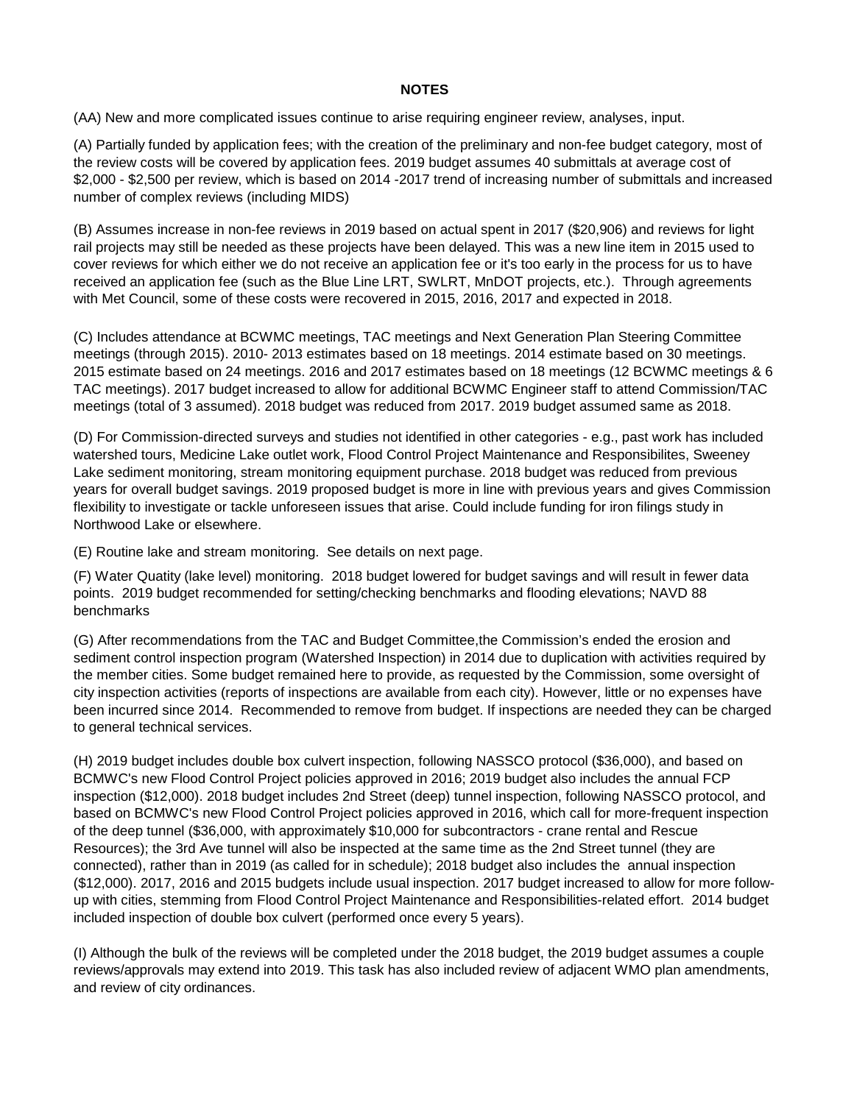## **NOTES**

(AA) New and more complicated issues continue to arise requiring engineer review, analyses, input.

(A) Partially funded by application fees; with the creation of the preliminary and non-fee budget category, most of the review costs will be covered by application fees. 2019 budget assumes 40 submittals at average cost of \$2,000 - \$2,500 per review, which is based on 2014 -2017 trend of increasing number of submittals and increased number of complex reviews (including MIDS)

(B) Assumes increase in non-fee reviews in 2019 based on actual spent in 2017 (\$20,906) and reviews for light rail projects may still be needed as these projects have been delayed. This was a new line item in 2015 used to cover reviews for which either we do not receive an application fee or it's too early in the process for us to have received an application fee (such as the Blue Line LRT, SWLRT, MnDOT projects, etc.). Through agreements with Met Council, some of these costs were recovered in 2015, 2016, 2017 and expected in 2018.

(C) Includes attendance at BCWMC meetings, TAC meetings and Next Generation Plan Steering Committee meetings (through 2015). 2010- 2013 estimates based on 18 meetings. 2014 estimate based on 30 meetings. 2015 estimate based on 24 meetings. 2016 and 2017 estimates based on 18 meetings (12 BCWMC meetings & 6 TAC meetings). 2017 budget increased to allow for additional BCWMC Engineer staff to attend Commission/TAC meetings (total of 3 assumed). 2018 budget was reduced from 2017. 2019 budget assumed same as 2018.

(D) For Commission-directed surveys and studies not identified in other categories - e.g., past work has included watershed tours, Medicine Lake outlet work, Flood Control Project Maintenance and Responsibilites, Sweeney Lake sediment monitoring, stream monitoring equipment purchase. 2018 budget was reduced from previous years for overall budget savings. 2019 proposed budget is more in line with previous years and gives Commission flexibility to investigate or tackle unforeseen issues that arise. Could include funding for iron filings study in Northwood Lake or elsewhere.

(E) Routine lake and stream monitoring. See details on next page.

(F) Water Quatity (lake level) monitoring. 2018 budget lowered for budget savings and will result in fewer data points. 2019 budget recommended for setting/checking benchmarks and flooding elevations; NAVD 88 benchmarks

(G) After recommendations from the TAC and Budget Committee,the Commission's ended the erosion and sediment control inspection program (Watershed Inspection) in 2014 due to duplication with activities required by the member cities. Some budget remained here to provide, as requested by the Commission, some oversight of city inspection activities (reports of inspections are available from each city). However, little or no expenses have been incurred since 2014. Recommended to remove from budget. If inspections are needed they can be charged to general technical services.

(H) 2019 budget includes double box culvert inspection, following NASSCO protocol (\$36,000), and based on BCMWC's new Flood Control Project policies approved in 2016; 2019 budget also includes the annual FCP inspection (\$12,000). 2018 budget includes 2nd Street (deep) tunnel inspection, following NASSCO protocol, and based on BCMWC's new Flood Control Project policies approved in 2016, which call for more-frequent inspection of the deep tunnel (\$36,000, with approximately \$10,000 for subcontractors - crane rental and Rescue Resources); the 3rd Ave tunnel will also be inspected at the same time as the 2nd Street tunnel (they are connected), rather than in 2019 (as called for in schedule); 2018 budget also includes the annual inspection (\$12,000). 2017, 2016 and 2015 budgets include usual inspection. 2017 budget increased to allow for more followup with cities, stemming from Flood Control Project Maintenance and Responsibilities-related effort. 2014 budget included inspection of double box culvert (performed once every 5 years).

(I) Although the bulk of the reviews will be completed under the 2018 budget, the 2019 budget assumes a couple reviews/approvals may extend into 2019. This task has also included review of adjacent WMO plan amendments, and review of city ordinances.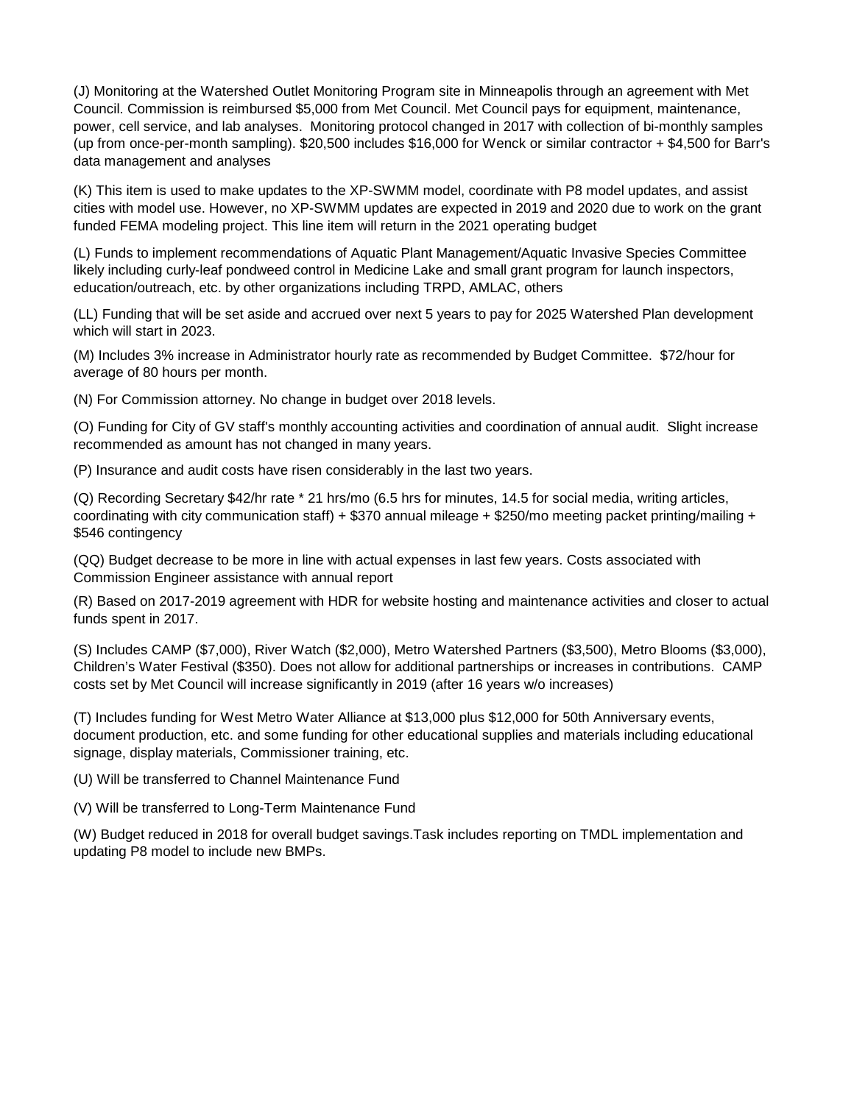(J) Monitoring at the Watershed Outlet Monitoring Program site in Minneapolis through an agreement with Met Council. Commission is reimbursed \$5,000 from Met Council. Met Council pays for equipment, maintenance, power, cell service, and lab analyses. Monitoring protocol changed in 2017 with collection of bi-monthly samples (up from once-per-month sampling). \$20,500 includes \$16,000 for Wenck or similar contractor + \$4,500 for Barr's data management and analyses

(K) This item is used to make updates to the XP-SWMM model, coordinate with P8 model updates, and assist cities with model use. However, no XP-SWMM updates are expected in 2019 and 2020 due to work on the grant funded FEMA modeling project. This line item will return in the 2021 operating budget

(L) Funds to implement recommendations of Aquatic Plant Management/Aquatic Invasive Species Committee likely including curly-leaf pondweed control in Medicine Lake and small grant program for launch inspectors, education/outreach, etc. by other organizations including TRPD, AMLAC, others

(LL) Funding that will be set aside and accrued over next 5 years to pay for 2025 Watershed Plan development which will start in 2023.

(M) Includes 3% increase in Administrator hourly rate as recommended by Budget Committee. \$72/hour for average of 80 hours per month.

(N) For Commission attorney. No change in budget over 2018 levels.

(O) Funding for City of GV staff's monthly accounting activities and coordination of annual audit. Slight increase recommended as amount has not changed in many years.

(P) Insurance and audit costs have risen considerably in the last two years.

(Q) Recording Secretary \$42/hr rate \* 21 hrs/mo (6.5 hrs for minutes, 14.5 for social media, writing articles, coordinating with city communication staff) + \$370 annual mileage + \$250/mo meeting packet printing/mailing + \$546 contingency

(QQ) Budget decrease to be more in line with actual expenses in last few years. Costs associated with Commission Engineer assistance with annual report

(R) Based on 2017-2019 agreement with HDR for website hosting and maintenance activities and closer to actual funds spent in 2017.

(S) Includes CAMP (\$7,000), River Watch (\$2,000), Metro Watershed Partners (\$3,500), Metro Blooms (\$3,000), Children's Water Festival (\$350). Does not allow for additional partnerships or increases in contributions. CAMP costs set by Met Council will increase significantly in 2019 (after 16 years w/o increases)

(T) Includes funding for West Metro Water Alliance at \$13,000 plus \$12,000 for 50th Anniversary events, document production, etc. and some funding for other educational supplies and materials including educational signage, display materials, Commissioner training, etc.

(U) Will be transferred to Channel Maintenance Fund

(V) Will be transferred to Long-Term Maintenance Fund

(W) Budget reduced in 2018 for overall budget savings.Task includes reporting on TMDL implementation and updating P8 model to include new BMPs.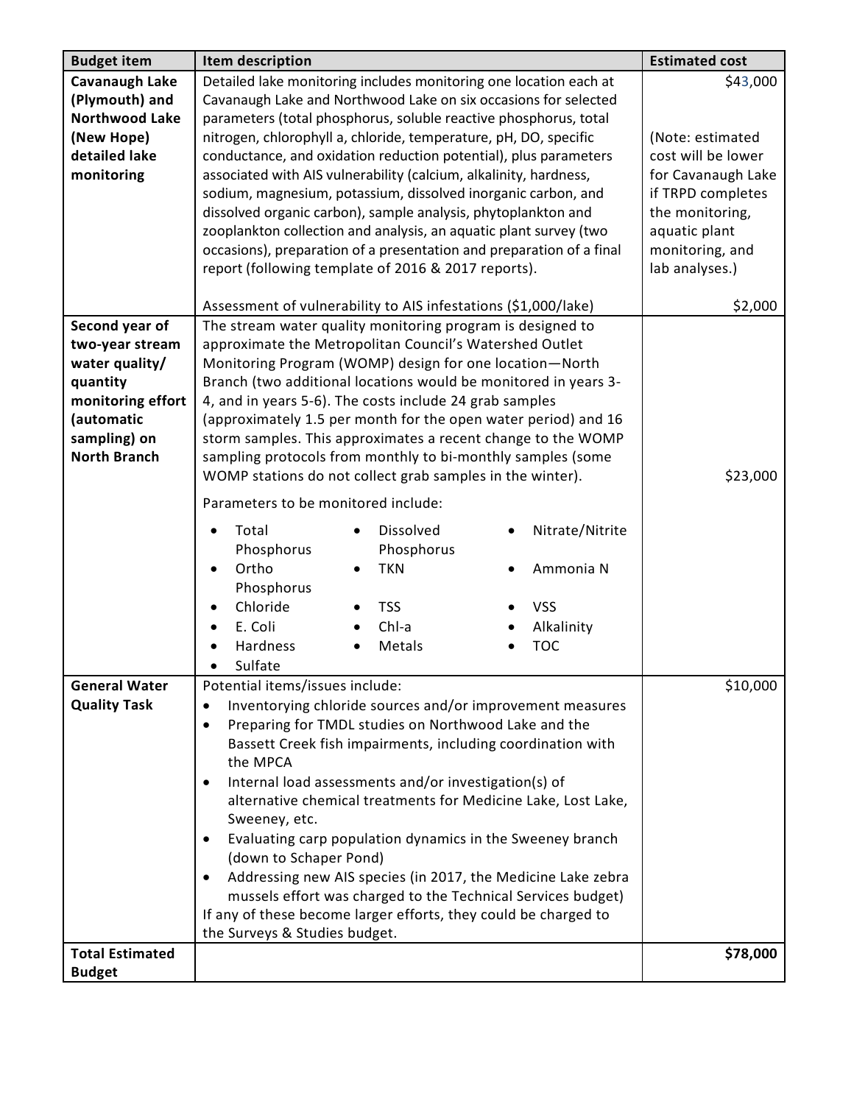| <b>Budget item</b>     | Item description                                                                    | <b>Estimated cost</b> |
|------------------------|-------------------------------------------------------------------------------------|-----------------------|
| <b>Cavanaugh Lake</b>  | Detailed lake monitoring includes monitoring one location each at                   | \$43,000              |
| (Plymouth) and         | Cavanaugh Lake and Northwood Lake on six occasions for selected                     |                       |
| <b>Northwood Lake</b>  | parameters (total phosphorus, soluble reactive phosphorus, total                    |                       |
| (New Hope)             | nitrogen, chlorophyll a, chloride, temperature, pH, DO, specific                    | (Note: estimated      |
| detailed lake          | conductance, and oxidation reduction potential), plus parameters                    | cost will be lower    |
| monitoring             | associated with AIS vulnerability (calcium, alkalinity, hardness,                   | for Cavanaugh Lake    |
|                        | sodium, magnesium, potassium, dissolved inorganic carbon, and                       | if TRPD completes     |
|                        | dissolved organic carbon), sample analysis, phytoplankton and                       | the monitoring,       |
|                        | zooplankton collection and analysis, an aquatic plant survey (two                   | aquatic plant         |
|                        | occasions), preparation of a presentation and preparation of a final                | monitoring, and       |
|                        | report (following template of 2016 & 2017 reports).                                 | lab analyses.)        |
|                        |                                                                                     |                       |
|                        | Assessment of vulnerability to AIS infestations (\$1,000/lake)                      | \$2,000               |
| Second year of         | The stream water quality monitoring program is designed to                          |                       |
| two-year stream        | approximate the Metropolitan Council's Watershed Outlet                             |                       |
| water quality/         | Monitoring Program (WOMP) design for one location-North                             |                       |
| quantity               | Branch (two additional locations would be monitored in years 3-                     |                       |
| monitoring effort      | 4, and in years 5-6). The costs include 24 grab samples                             |                       |
| (automatic             | (approximately 1.5 per month for the open water period) and 16                      |                       |
| sampling) on           | storm samples. This approximates a recent change to the WOMP                        |                       |
| <b>North Branch</b>    | sampling protocols from monthly to bi-monthly samples (some                         |                       |
|                        | WOMP stations do not collect grab samples in the winter).                           | \$23,000              |
|                        | Parameters to be monitored include:                                                 |                       |
|                        | Dissolved<br>Nitrate/Nitrite<br>Total<br>$\bullet$<br>$\bullet$                     |                       |
|                        | Phosphorus<br>Phosphorus                                                            |                       |
|                        | Ortho<br><b>TKN</b><br>Ammonia N<br>٠                                               |                       |
|                        | Phosphorus                                                                          |                       |
|                        | Chloride<br><b>VSS</b><br><b>TSS</b>                                                |                       |
|                        | Chl-a<br>E. Coli<br>Alkalinity                                                      |                       |
|                        | Hardness<br><b>TOC</b><br>Metals                                                    |                       |
|                        | Sulfate                                                                             |                       |
| <b>General Water</b>   | Potential items/issues include:                                                     | \$10,000              |
| <b>Quality Task</b>    | Inventorying chloride sources and/or improvement measures<br>$\bullet$              |                       |
|                        | Preparing for TMDL studies on Northwood Lake and the                                |                       |
|                        | Bassett Creek fish impairments, including coordination with                         |                       |
|                        | the MPCA                                                                            |                       |
|                        | Internal load assessments and/or investigation(s) of                                |                       |
|                        | alternative chemical treatments for Medicine Lake, Lost Lake,                       |                       |
|                        | Sweeney, etc.                                                                       |                       |
|                        | Evaluating carp population dynamics in the Sweeney branch<br>(down to Schaper Pond) |                       |
|                        | Addressing new AIS species (in 2017, the Medicine Lake zebra                        |                       |
|                        | mussels effort was charged to the Technical Services budget)                        |                       |
|                        | If any of these become larger efforts, they could be charged to                     |                       |
|                        | the Surveys & Studies budget.                                                       |                       |
| <b>Total Estimated</b> |                                                                                     | \$78,000              |
| <b>Budget</b>          |                                                                                     |                       |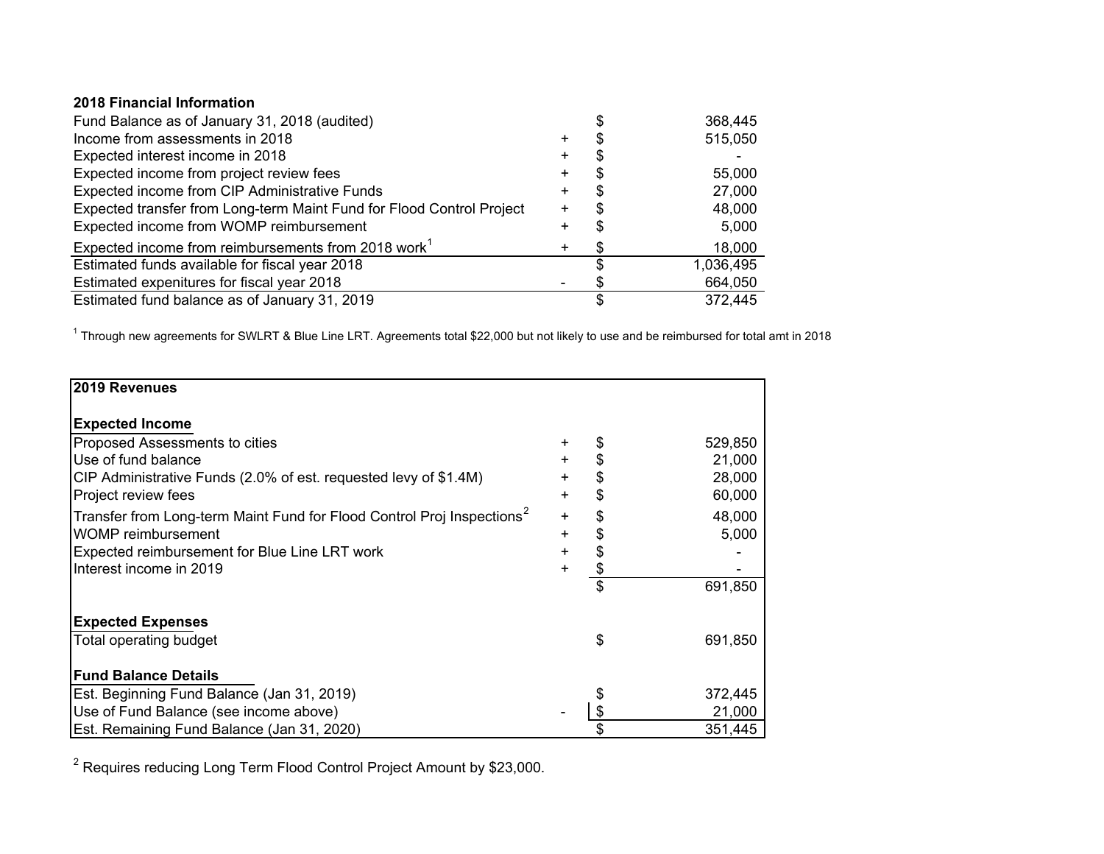## **2018 Financial Information**

| Fund Balance as of January 31, 2018 (audited)                         |           |   | 368,445   |
|-----------------------------------------------------------------------|-----------|---|-----------|
| Income from assessments in 2018                                       | ÷         |   | 515,050   |
| Expected interest income in 2018                                      | +         |   |           |
| Expected income from project review fees                              | ٠         |   | 55,000    |
| Expected income from CIP Administrative Funds                         | $\ddot{}$ |   | 27,000    |
| Expected transfer from Long-term Maint Fund for Flood Control Project | $\ddot{}$ |   | 48,000    |
| Expected income from WOMP reimbursement                               |           |   | 5,000     |
| Expected income from reimbursements from 2018 work <sup>1</sup>       | $\ddot{}$ | S | 18,000    |
| Estimated funds available for fiscal year 2018                        |           |   | 1,036,495 |
| Estimated expenitures for fiscal year 2018                            |           |   | 664,050   |
| Estimated fund balance as of January 31, 2019                         |           |   | 372,445   |

<sup>1</sup> Through new agreements for SWLRT & Blue Line LRT. Agreements total \$22,000 but not likely to use and be reimbursed for total amt in 2018

| 2019 Revenues                                                                      |           |               |
|------------------------------------------------------------------------------------|-----------|---------------|
|                                                                                    |           |               |
| <b>Expected Income</b>                                                             |           |               |
| <b>Proposed Assessments to cities</b>                                              | +         | 529,850       |
| Use of fund balance                                                                | $\ddot{}$ | \$<br>21,000  |
| CIP Administrative Funds (2.0% of est. requested levy of \$1.4M)                   | $\ddot{}$ | \$<br>28,000  |
| Project review fees                                                                | $\pm$     | \$<br>60,000  |
| Transfer from Long-term Maint Fund for Flood Control Proj Inspections <sup>2</sup> | $\ddot{}$ | \$<br>48,000  |
| <b>WOMP</b> reimbursement                                                          | $\ddot{}$ | \$<br>5,000   |
| <b>Expected reimbursement for Blue Line LRT work</b>                               | +         | \$            |
| Interest income in 2019                                                            | ÷.        | \$            |
|                                                                                    |           | \$<br>691,850 |
|                                                                                    |           |               |
| <b>Expected Expenses</b>                                                           |           |               |
| Total operating budget                                                             |           | \$<br>691,850 |
|                                                                                    |           |               |
| <b>Fund Balance Details</b>                                                        |           |               |
| Est. Beginning Fund Balance (Jan 31, 2019)                                         |           | 372,445       |
| Use of Fund Balance (see income above)                                             |           | 21,000        |
| Est. Remaining Fund Balance (Jan 31, 2020)                                         |           | 351,445       |

2 Requires reducing Long Term Flood Control Project Amount by \$23,000.